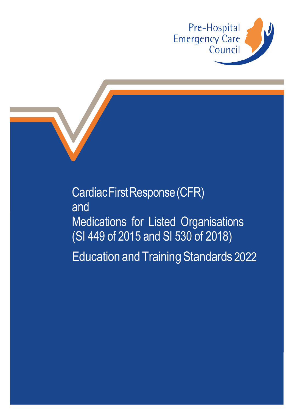

Cardiac First Response (CFR) and Medications for Listed Organisations (SI 449 of 2015 and SI 530 of 2018) Education and Training Standards 2022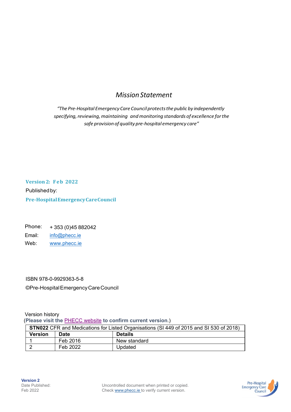# *Mission Statement*

*"The Pre-Hospital Emergency Care Council protectsthe public by independently specifying, reviewing, maintaining and monitoring standards of excellence forthe safe provision of quality pre-hospital emergency care"*

**Version 2: Feb 2022** Published by: **Pre-Hospital Emergency CareCouncil**

Phone: + 353 (0)45 882042 Email: [info@phecc.ie](mailto:info@phecc.ie) Web: [www.phecc.ie](http://www.phecc.ie/)

ISBN 978-0-9929363-5-8

©Pre-HospitalEmergencyCareCouncil

Version history (**Please visit the** [PHECC website](http://www.phecc.ie/) **to confirm current version**.)

| <b>STN022</b> CFR and Medications for Listed Organisations (SI 449 of 2015 and SI 530 of 2018) |          |                |
|------------------------------------------------------------------------------------------------|----------|----------------|
| Version                                                                                        | Date     | <b>Details</b> |
|                                                                                                | Feb 2016 | New standard   |
|                                                                                                | Feb 2022 | Updated        |

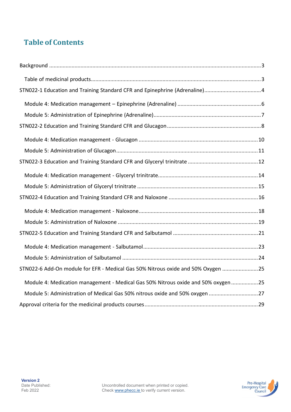# **Table of Contents**

| STN022-6 Add-On module for EFR - Medical Gas 50% Nitrous oxide and 50% Oxygen  25 |
|-----------------------------------------------------------------------------------|
| Module 4: Medication management - Medical Gas 50% Nitrous oxide and 50% oxygen 25 |
| Module 5: Administration of Medical Gas 50% nitrous oxide and 50% oxygen 27       |
|                                                                                   |

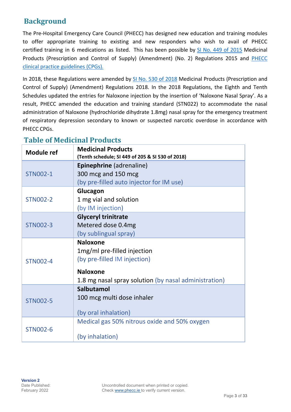# **Background**

The Pre-Hospital Emergency Care Council (PHECC) has designed new education and training modules to offer appropriate training to existing and new responders who wish to avail of [PHECC](http://www.phecit.ie/Images/PHECC/What%20We%20Do/Legislation/SI%20449%20of%202015.pdf) certified training in 6 medications as listed. This has been possible by [SI No. 449 of 2015](https://www.irishstatutebook.ie/eli/2015/si/449/made/en/print) Medicinal Products (Prescription and Control of Supply) (Amendment) (No. 2) Regulations 2015 and [PHECC](http://www.phecit.ie/PHECC/Clinical_resources/Clinical_practice_guidelines/2014_edition_CPGs/PHECC/Exams_and_candidates/Clinical_Practice_Guidelines/Clinical_Practice_Guidelines.aspx?Hkey=23dd59a6-6b5b-4d0b-9874-6e3467c026e0)  clinical [practice guidelines \(CPGs\).](http://www.phecit.ie/PHECC/Clinical_resources/Clinical_practice_guidelines/2014_edition_CPGs/PHECC/Exams_and_candidates/Clinical_Practice_Guidelines/Clinical_Practice_Guidelines.aspx?Hkey=23dd59a6-6b5b-4d0b-9874-6e3467c026e0) 

In 2018, these Regulations were amended b[y SI No. 530 of 2018 M](https://www.irishstatutebook.ie/eli/2018/si/530/made/en/print)edicinal Products (Prescription and Control of Supply) (Amendment) Regulations 2018. In the 2018 Regulations, the Eighth and Tenth Schedules updated the entries for Naloxone injection by the insertion of 'Naloxone Nasal Spray'. As a result, PHECC amended the education and training standard (STN022) to accommodate the nasal administration of Naloxone (hydrochloride dihydrate 1.8mg) nasal spray for the emergency treatment of respiratory depression secondary to known or suspected narcotic overdose in accordance with PHECC CPGs.

# **Table of Medicinal Products**

| <b>Module ref</b> | <b>Medicinal Products</b><br>(Tenth schedule; SI 449 of 205 & SI 530 of 2018) |  |
|-------------------|-------------------------------------------------------------------------------|--|
|                   | <b>Epinephrine</b> (adrenaline)                                               |  |
| <b>STN002-1</b>   | 300 mcg and 150 mcg                                                           |  |
|                   | (by pre-filled auto injector for IM use)                                      |  |
|                   | Glucagon                                                                      |  |
| <b>STN002-2</b>   | 1 mg vial and solution                                                        |  |
|                   | (by IM injection)                                                             |  |
|                   | <b>Glyceryl trinitrate</b>                                                    |  |
| <b>STN002-3</b>   | Metered dose 0.4mg                                                            |  |
|                   | (by sublingual spray)                                                         |  |
|                   | <b>Naloxone</b>                                                               |  |
|                   | 1mg/ml pre-filled injection                                                   |  |
| <b>STN002-4</b>   | (by pre-filled IM injection)                                                  |  |
|                   | <b>Naloxone</b>                                                               |  |
|                   | 1.8 mg nasal spray solution (by nasal administration)                         |  |
|                   | Salbutamol                                                                    |  |
| <b>STN002-5</b>   | 100 mcg multi dose inhaler                                                    |  |
|                   | (by oral inhalation)                                                          |  |
|                   | Medical gas 50% nitrous oxide and 50% oxygen                                  |  |
| <b>STN002-6</b>   |                                                                               |  |
|                   | (by inhalation)                                                               |  |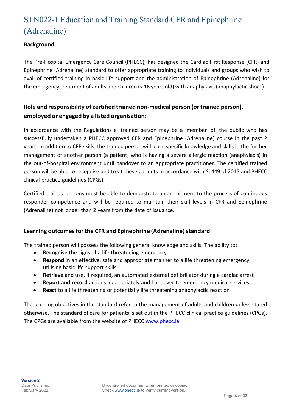# STN022-1 Education and Training Standard CFR and Epinephrine (Adrenaline)

### **Background**

The Pre-Hospital Emergency Care Council (PHECC), has designed the Cardiac First Response (CFR) and Epinephrine (Adrenaline) standard to offer appropriate training to individuals and groups who wish to avail of certified training in basic life support and the administration of Epinephrine (Adrenaline) for the emergency treatment of adults and children (< 16 years old) with anaphylaxis(anaphylactic shock).

## **Role and responsibility of certified trained non-medical person (or trained person), employed or engaged by a listed organisation:**

In accordance with the Regulations a trained person may be a member of the public who has successfully undertaken a PHECC approved CFR and Epinephrine (Adrenaline) course in the past 2 years. In addition to CFR skills, the trained person will learn specific knowledge and skills in the further management of another person (a patient) who is having a severe allergic reaction (anaphylaxis) in the out-of-hospital environment until handover to an appropriate practitioner. The certified trained person will be able to recognise and treat these patients in accordance with SI 449 of 2015 and PHECC clinical practice guidelines (CPGs).

Certified trained persons must be able to demonstrate a commitment to the process of continuous responder competence and will be required to maintain their skill levels in CFR and Epinephrine (Adrenaline) not longer than 2 years from the date of issuance.

### **Learning outcomes for the CFR and Epinephrine (Adrenaline) standard**

The trained person will possess the following general knowledge and skills. The ability to:

- **Recognise** the signs of a life threatening emergency
- **Respond** in an effective, safe and appropriate manner to a life threatening emergency, utilising basic life support skills
- **Retrieve** and use, if required, an automated external defibrillator during a cardiac arrest
- **Report and record** actions appropriately and handover to emergency medical services
- **React** to a life threatening or potentially life threatening anaphylactic reaction

The learning objectives in the standard refer to the management of adults and children unless stated otherwise. The standard of care for patients is set out in the PHECC clinical practice guidelines (CPGs). The CPGs are available from the website of PHECC [www.phecc.ie](http://www.phecc.ie/)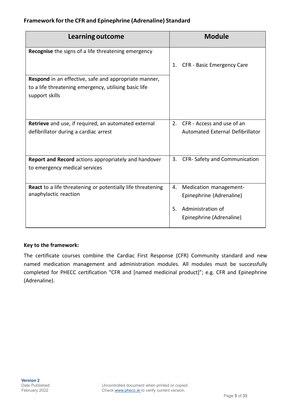#### **Framework forthe CFR and Epinephrine (Adrenaline) Standard**

| <b>Learning outcome</b>                                                 | <b>Module</b>                                |
|-------------------------------------------------------------------------|----------------------------------------------|
| Recognise the signs of a life threatening emergency                     |                                              |
|                                                                         | CFR - Basic Emergency Care<br>1.             |
| Respond in an effective, safe and appropriate manner,                   |                                              |
| to a life threatening emergency, utilising basic life<br>support skills |                                              |
|                                                                         |                                              |
| Retrieve and use, if required, an automated external                    | CFR - Access and use of an<br>2 <sub>1</sub> |
| defibrillator during a cardiac arrest                                   | Automated External Defibrillator             |
| <b>Report and Record</b> actions appropriately and handover             | 3.<br>CFR-Safety and Communication           |
| to emergency medical services                                           |                                              |
| <b>React to a life threatening or potentially life threatening</b>      | Medication management-<br>4.                 |
| anaphylactic reaction                                                   | Epinephrine (Adrenaline)                     |
|                                                                         | Administration of<br>5.                      |
|                                                                         | Epinephrine (Adrenaline)                     |

#### **Key to the framework:**

The certificate courses combine the Cardiac First Response (CFR) Community standard and new named medication management and administration modules. All modules must be successfully completed for PHECC certification "CFR and [named medicinal product]"; e.g. CFR and Epinephrine (Adrenaline).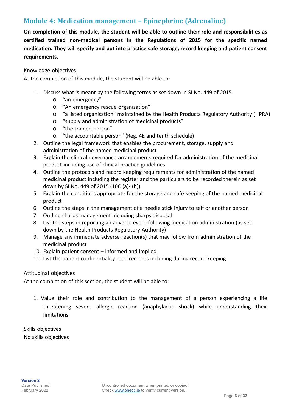### **Module 4: Medication management – Epinephrine (Adrenaline)**

**On completion of this module, the student will be able to outline their role and responsibilities as certified trained non-medical persons in the Regulations of 2015 for the specific named medication. They will specify and put into practice safe storage, record keeping and patient consent requirements.**

#### Knowledge objectives

At the completion of this module, the student will be able to:

- 1. Discuss what is meant by the following terms as set down in SI No. 449 of 2015
	- o "an emergency"
	- o "An emergency rescue organisation"
	- o "a listed organisation" maintained by the Health Products Regulatory Authority (HPRA)
	- o "supply and administration of medicinal products"
	- o "the trained person"
	- o "the accountable person" (Reg. 4E and tenth schedule)
- 2. Outline the legal framework that enables the procurement, storage, supply and administration of the named medicinal product
- 3. Explain the clinical governance arrangements required for administration of the medicinal product including use of clinical practice guidelines
- 4. Outline the protocols and record keeping requirements for administration of the named medicinal product including the register and the particulars to be recorded therein as set down by SI No. 449 of 2015 (10C (a)- (h))
- 5. Explain the conditions appropriate for the storage and safe keeping of the named medicinal product
- 6. Outline the steps in the management of a needle stick injury to self or another person
- 7. Outline sharps management including sharps disposal
- 8. List the steps in reporting an adverse event following medication administration (as set down by the Health Products Regulatory Authority)
- 9. Manage any immediate adverse reaction(s) that may follow from administration of the medicinal product
- 10. Explain patient consent informed and implied
- 11. List the patient confidentiality requirements including during record keeping

#### Attitudinal objectives

At the completion of this section, the student will be able to:

1. Value their role and contribution to the management of a person experiencing a life threatening severe allergic reaction (anaphylactic shock) while understanding their limitations.

Skills objectives

No skills objectives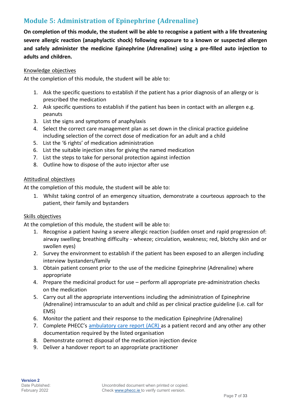# **Module 5: Administration of Epinephrine (Adrenaline)**

**On completion of this module, the student will be able to recognise a patient with a life threatening severe allergic reaction (anaphylactic shock) following exposure to a known or suspected allergen and safely administer the medicine Epinephrine (Adrenaline) using a pre-filled auto injection to adults and children.**

#### Knowledge objectives

At the completion of this module, the student will be able to:

- 1. Ask the specific questions to establish if the patient has a prior diagnosis of an allergy or is prescribed the medication
- 2. Ask specific questions to establish if the patient has been in contact with an allergen e.g. peanuts
- 3. List the signs and symptoms of anaphylaxis
- 4. Select the correct care management plan as set down in the clinical practice guideline including selection of the correct dose of medication for an adult and a child
- 5. List the '6 rights' of medication administration
- 6. List the suitable injection sites for giving the named medication
- 7. List the steps to take for personal protection against infection
- 8. Outline how to dispose of the auto injector after use

#### Attitudinal objectives

At the completion of this module, the student will be able to:

1. Whilst taking control of an emergency situation, demonstrate a courteous approach to the patient, their family and bystanders

#### Skills objectives

- 1. Recognise a patient having a severe allergic reaction (sudden onset and rapid progression of: airway swelling; breathing difficulty - wheeze; circulation, weakness; red, blotchy skin and or swollen eyes)
- 2. Survey the environment to establish if the patient has been exposed to an allergen including interview bystanders/family
- 3. Obtain patient consent prior to the use of the medicine Epinephrine (Adrenaline) where appropriate
- 4. Prepare the medicinal product for use perform all appropriate pre-administration checks on the medication
- 5. Carry out all the appropriate interventions including the administration of Epinephrine (Adrenaline) intramuscular to an adult and child as per clinical practice guideline (i.e. call for EMS)
- 6. Monitor the patient and their response to the medication Epinephrine (Adrenaline)
- 7. Complete PHECC's [ambulatory](http://www.phecit.ie/Images/PHECC/Information%20Management/10-10-2013%20AMBULATORY%20CARE%20REPORT%20FINAL.pdf) care report (ACR) as a patient record and any other any other documentation required by the listed organisation
- 8. Demonstrate correct disposal of the medication injection device
- 9. Deliver a handover report to an appropriate practitioner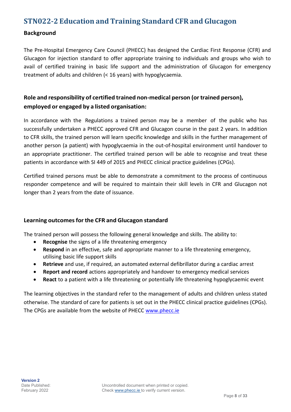# **STN022-2 Education and Training Standard CFR and Glucagon**

#### **Background**

The Pre-Hospital Emergency Care Council (PHECC) has designed the Cardiac First Response (CFR) and Glucagon for injection standard to offer appropriate training to individuals and groups who wish to avail of certified training in basic life support and the administration of Glucagon for emergency treatment of adults and children (< 16 years) with hypoglycaemia.

### **Role and responsibility of certified trained non-medical person (or trained person), employed or engaged by a listed organisation:**

In accordance with the Regulations a trained person may be a member of the public who has successfully undertaken a PHECC approved CFR and Glucagon course in the past 2 years. In addition to CFR skills, the trained person will learn specific knowledge and skills in the further management of another person (a patient) with hypoglycaemia in the out-of-hospital environment until handover to an appropriate practitioner. The certified trained person will be able to recognise and treat these patients in accordance with SI 449 of 2015 and PHECC clinical practice guidelines (CPGs).

Certified trained persons must be able to demonstrate a commitment to the process of continuous responder competence and will be required to maintain their skill levels in CFR and Glucagon not longer than 2 years from the date of issuance.

### **Learning outcomesfor the CFR and Glucagon standard**

The trained person will possess the following general knowledge and skills. The ability to:

- **Recognise** the signs of a life threatening emergency
- **Respond** in an effective, safe and appropriate manner to a life threatening emergency, utilising basic life support skills
- **Retrieve** and use, if required, an automated external defibrillator during a cardiac arrest
- **Report and record** actions appropriately and handover to emergency medical services
- **React** to a patient with a life threatening or potentially life threatening hypoglycaemic event

The learning objectives in the standard refer to the management of adults and children unless stated otherwise. The standard of care for patients is set out in the PHECC clinical practice guidelines (CPGs). The CPGs are available from the website of PHECC [www.phecc.ie](http://www.phecc.ie/)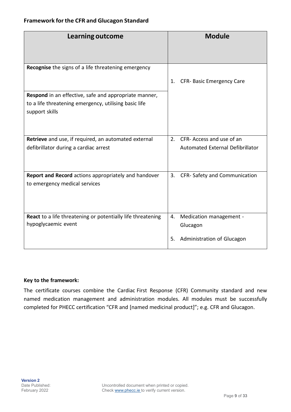#### **Framework forthe CFR and Glucagon Standard**

| Learning outcome                                                                                                                 | <b>Module</b>                               |
|----------------------------------------------------------------------------------------------------------------------------------|---------------------------------------------|
| Recognise the signs of a life threatening emergency                                                                              |                                             |
|                                                                                                                                  | CFR- Basic Emergency Care<br>1.             |
| Respond in an effective, safe and appropriate manner,<br>to a life threatening emergency, utilising basic life<br>support skills |                                             |
| Retrieve and use, if required, an automated external                                                                             | CFR- Access and use of an<br>2 <sub>1</sub> |
| defibrillator during a cardiac arrest                                                                                            | Automated External Defibrillator            |
| Report and Record actions appropriately and handover<br>to emergency medical services                                            | CFR-Safety and Communication<br>3.          |
| <b>React</b> to a life threatening or potentially life threatening<br>hypoglycaemic event                                        | Medication management -<br>4.<br>Glucagon   |
|                                                                                                                                  | Administration of Glucagon<br>5.            |

#### **Key to the framework:**

The certificate courses combine the Cardiac First Response (CFR) Community standard and new named medication management and administration modules. All modules must be successfully completed for PHECC certification "CFR and [named medicinal product]"; e.g. CFR and Glucagon.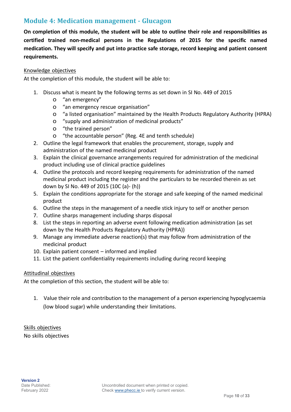### **Module 4: Medication management - Glucagon**

**On completion of this module, the student will be able to outline their role and responsibilities as certified trained non-medical persons in the Regulations of 2015 for the specific named medication. They will specify and put into practice safe storage, record keeping and patient consent requirements.**

#### Knowledge objectives

At the completion of this module, the student will be able to:

- 1. Discuss what is meant by the following terms as set down in SI No. 449 of 2015
	- o "an emergency"
	- o "an emergency rescue organisation"
	- o "a listed organisation" maintained by the Health Products Regulatory Authority (HPRA)
	- o "supply and administration of medicinal products"
	- o "the trained person"
	- o "the accountable person" (Reg. 4E and tenth schedule)
- 2. Outline the legal framework that enables the procurement, storage, supply and administration of the named medicinal product
- 3. Explain the clinical governance arrangements required for administration of the medicinal product including use of clinical practice guidelines
- 4. Outline the protocols and record keeping requirements for administration of the named medicinal product including the register and the particulars to be recorded therein as set down by SI No. 449 of 2015 (10C (a)- (h))
- 5. Explain the conditions appropriate for the storage and safe keeping of the named medicinal product
- 6. Outline the steps in the management of a needle stick injury to self or another person
- 7. Outline sharps management including sharps disposal
- 8. List the steps in reporting an adverse event following medication administration (as set down by the Health Products Regulatory Authority (HPRA))
- 9. Manage any immediate adverse reaction(s) that may follow from administration of the medicinal product
- 10. Explain patient consent informed and implied
- 11. List the patient confidentiality requirements including during record keeping

#### Attitudinal objectives

At the completion of this section, the student will be able to:

1. Value their role and contribution to the management of a person experiencing hypoglycaemia (low blood sugar) while understanding their limitations.

Skills objectives No skills objectives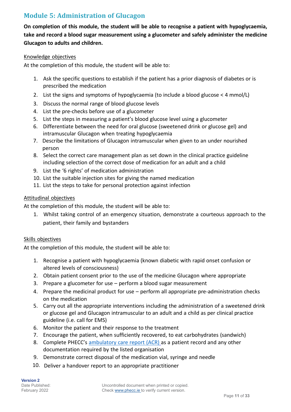# **Module 5: Administration of Glucagon**

**On completion of this module, the student will be able to recognise a patient with hypoglycaemia, take and record a blood sugar measurement using a glucometer and safely administer the medicine Glucagon to adults and children.**

#### Knowledge objectives

At the completion of this module, the student will be able to:

- 1. Ask the specific questions to establish if the patient has a prior diagnosis of diabetes or is prescribed the medication
- 2. List the signs and symptoms of hypoglycaemia (to include a blood glucose < 4 mmol/L)
- 3. Discuss the normal range of blood glucose levels
- 4. List the pre-checks before use of a glucometer
- 5. List the steps in measuring a patient's blood glucose level using a glucometer
- 6. Differentiate between the need for oral glucose (sweetened drink or glucose gel) and intramuscular Glucagon when treating hypoglycaemia
- 7. Describe the limitations of Glucagon intramuscular when given to an under nourished person
- 8. Select the correct care management plan as set down in the clinical practice guideline including selection of the correct dose of medication for an adult and a child
- 9. List the '6 rights' of medication administration
- 10. List the suitable injection sites for giving the named medication
- 11. List the steps to take for personal protection against infection

#### Attitudinal objectives

At the completion of this module, the student will be able to:

1. Whilst taking control of an emergency situation, demonstrate a courteous approach to the patient, their family and bystanders

#### Skills objectives

- 1. Recognise a patient with hypoglycaemia (known diabetic with rapid onset confusion or altered levels of consciousness)
- 2. Obtain patient consent prior to the use of the medicine Glucagon where appropriate
- 3. Prepare a glucometer for use perform a blood sugar measurement
- 4. Prepare the medicinal product for use perform all appropriate pre-administration checks on the medication
- 5. Carry out all the appropriate interventions including the administration of a sweetened drink or glucose gel and Glucagon intramuscular to an adult and a child as per clinical practice guideline (i.e. call for EMS)
- 6. Monitor the patient and their response to the treatment
- 7. Encourage the patient, when sufficiently recovered, to eat carbohydrates (sandwich)
- 8. Complete PHECC's [ambulatory](http://www.phecit.ie/Images/PHECC/Information%20Management/10-10-2013%20AMBULATORY%20CARE%20REPORT%20FINAL.pdf) care report (ACR) as a patient record and any other documentation required by the listed organisation
- 9. Demonstrate correct disposal of the medication vial, syringe and needle
- 10. Deliver a handover report to an appropriate practitioner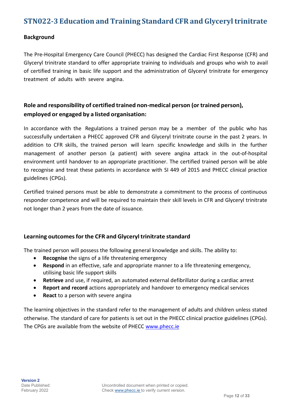# **STN022-3 Education and Training Standard CFR and Glyceryl trinitrate**

#### **Background**

The Pre-Hospital Emergency Care Council (PHECC) has designed the Cardiac First Response (CFR) and Glyceryl trinitrate standard to offer appropriate training to individuals and groups who wish to avail of certified training in basic life support and the administration of Glyceryl trinitrate for emergency treatment of adults with severe angina.

## **Role and responsibility of certified trained non-medical person (or trained person), employed or engaged by a listed organisation:**

In accordance with the Regulations a trained person may be a member of the public who has successfully undertaken a PHECC approved CFR and Glyceryl trinitrate course in the past 2 years. In addition to CFR skills, the trained person will learn specific knowledge and skills in the further management of another person (a patient) with severe angina attack in the out-of-hospital environment until handover to an appropriate practitioner. The certified trained person will be able to recognise and treat these patients in accordance with SI 449 of 2015 and PHECC clinical practice guidelines (CPGs).

Certified trained persons must be able to demonstrate a commitment to the process of continuous responder competence and will be required to maintain their skill levels in CFR and Glyceryl trinitrate not longer than 2 years from the date of issuance.

### **Learning outcomesfor the CFR and Glyceryl trinitrate standard**

The trained person will possess the following general knowledge and skills. The ability to:

- **Recognise** the signs of a life threatening emergency
- **Respond** in an effective, safe and appropriate manner to a life threatening emergency, utilising basic life support skills
- **Retrieve** and use, if required, an automated external defibrillator during a cardiac arrest
- **Report and record** actions appropriately and handover to emergency medical services
- **React** to a person with severe angina

The learning objectives in the standard refer to the management of adults and children unless stated otherwise. The standard of care for patients is set out in the PHECC clinical practice guidelines (CPGs). The CPGs are available from the website of PHECC [www.phecc.ie](http://www.phecc.ie/)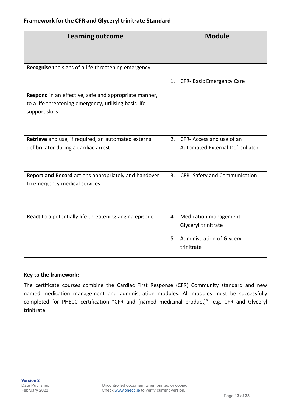#### **Framework forthe CFR and Glyceryl trinitrate Standard**

| Learning outcome                                                                                                                 | <b>Module</b>                                                                                          |
|----------------------------------------------------------------------------------------------------------------------------------|--------------------------------------------------------------------------------------------------------|
| <b>Recognise</b> the signs of a life threatening emergency                                                                       |                                                                                                        |
|                                                                                                                                  | CFR- Basic Emergency Care<br>1.                                                                        |
| Respond in an effective, safe and appropriate manner,<br>to a life threatening emergency, utilising basic life<br>support skills |                                                                                                        |
| Retrieve and use, if required, an automated external<br>defibrillator during a cardiac arrest                                    | CFR- Access and use of an<br>2 <sub>1</sub><br>Automated External Defibrillator                        |
| Report and Record actions appropriately and handover<br>to emergency medical services                                            | 3.<br>CFR-Safety and Communication                                                                     |
| React to a potentially life threatening angina episode                                                                           | Medication management -<br>4.<br>Glyceryl trinitrate<br>Administration of Glyceryl<br>5.<br>trinitrate |

#### **Key to the framework:**

The certificate courses combine the Cardiac First Response (CFR) Community standard and new named medication management and administration modules. All modules must be successfully completed for PHECC certification "CFR and [named medicinal product]"; e.g. CFR and Glyceryl trinitrate.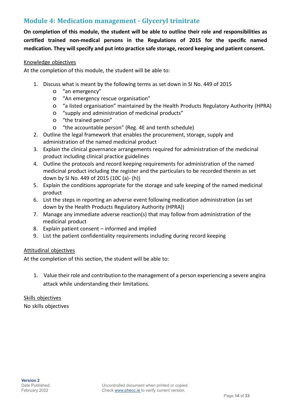### **Module 4: Medication management - Glyceryl trinitrate**

**On completion of this module, the student will be able to outline their role and responsibilities as certified trained non-medical persons in the Regulations of 2015 for the specific named medication. They will specify and put into practice safe storage, record keeping and patient consent.**

#### Knowledge objectives

At the completion of this module, the student will be able to:

- 1. Discuss what is meant by the following terms as set down in SI No. 449 of 2015
	- o "an emergency"
	- o "An emergency rescue organisation"
	- o "a listed organisation" maintained by the Health Products Regulatory Authority (HPRA)
	- o "supply and administration of medicinal products"
	- o "the trained person"
	- o "the accountable person" (Reg. 4E and tenth schedule)
- 2. Outline the legal framework that enables the procurement, storage, supply and administration of the named medicinal product
- 3. Explain the clinical governance arrangements required for administration of the medicinal product including clinical practice guidelines
- 4. Outline the protocols and record keeping requirements for administration of the named medicinal product including the register and the particulars to be recorded therein as set down by SI No. 449 of 2015 (10C (a)- (h))
- 5. Explain the conditions appropriate for the storage and safe keeping of the named medicinal product
- 6. List the steps in reporting an adverse event following medication administration (as set down by the Health Products Regulatory Authority (HPRA))
- 7. Manage any immediate adverse reaction(s) that may follow from administration of the medicinal product
- 8. Explain patient consent informed and implied
- 9. List the patient confidentiality requirements including during record keeping

#### Attitudinal objectives

At the completion of this section, the student will be able to:

1. Value their role and contribution to the management of a person experiencing a severe angina attack while understanding their limitations.

Skills objectives No skills objectives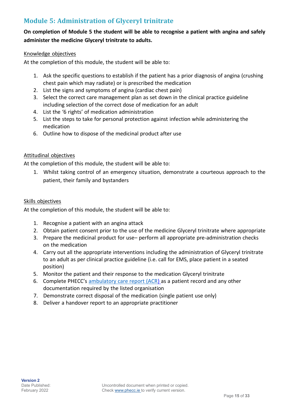# **Module 5: Administration of Glyceryl trinitrate**

### **On completion of Module 5 the student will be able to recognise a patient with angina and safely administer the medicine Glyceryl trinitrate to adults.**

#### Knowledge objectives

At the completion of this module, the student will be able to:

- 1. Ask the specific questions to establish if the patient has a prior diagnosis of angina (crushing chest pain which may radiate) or is prescribed the medication
- 2. List the signs and symptoms of angina (cardiac chest pain)
- 3. Select the correct care management plan as set down in the clinical practice guideline including selection of the correct dose of medication for an adult
- 4. List the '6 rights' of medication administration
- 5. List the steps to take for personal protection against infection while administering the medication
- 6. Outline how to dispose of the medicinal product after use

#### Attitudinal objectives

At the completion of this module, the student will be able to:

1. Whilst taking control of an emergency situation, demonstrate a courteous approach to the patient, their family and bystanders

#### Skills objectives

- 1. Recognise a patient with an angina attack
- 2. Obtain patient consent prior to the use of the medicine Glyceryl trinitrate where appropriate
- 3. Prepare the medicinal product for use– perform all appropriate pre-administration checks on the medication
- 4. Carry out all the appropriate interventions including the administration of Glyceryl trinitrate to an adult as per clinical practice guideline (i.e. call for EMS, place patient in a seated position)
- 5. Monitor the patient and their response to the medication Glyceryl trinitrate
- 6. Complete PHECC's [ambulatory](http://www.phecit.ie/Images/PHECC/Information%20Management/10-10-2013%20AMBULATORY%20CARE%20REPORT%20FINAL.pdf) care report (ACR) as a patient record and any other documentation required by the listed organisation
- 7. Demonstrate correct disposal of the medication (single patient use only)
- 8. Deliver a handover report to an appropriate practitioner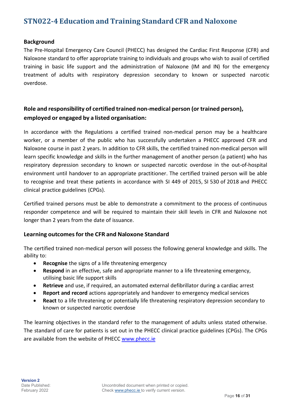# **STN022-4 Education and Training Standard CFR and Naloxone**

#### **Background**

The Pre-Hospital Emergency Care Council (PHECC) has designed the Cardiac First Response (CFR) and Naloxone standard to offer appropriate training to individuals and groups who wish to avail of certified training in basic life support and the administration of Naloxone (IM and IN) for the emergency treatment of adults with respiratory depression secondary to known or suspected narcotic overdose.

### **Role and responsibility of certified trained non-medical person (or trained person), employed or engaged by a listed organisation:**

In accordance with the Regulations a certified trained non-medical person may be a healthcare worker, or a member of the public who has successfully undertaken a PHECC approved CFR and Naloxone course in past 2 years. In addition to CFR skills, the certified trained non-medical person will learn specific knowledge and skills in the further management of another person (a patient) who has respiratory depression secondary to known or suspected narcotic overdose in the out-of-hospital environment until handover to an appropriate practitioner. The certified trained person will be able to recognise and treat these patients in accordance with SI 449 of 2015, SI 530 of 2018 and PHECC clinical practice guidelines (CPGs).

Certified trained persons must be able to demonstrate a commitment to the process of continuous responder competence and will be required to maintain their skill levels in CFR and Naloxone not longer than 2 years from the date of issuance.

#### **Learning outcomesfor the CFR and Naloxone Standard**

The certified trained non-medical person will possess the following general knowledge and skills. The ability to:

- **Recognise** the signs of a life threatening emergency
- **Respond** in an effective, safe and appropriate manner to a life threatening emergency, utilising basic life support skills
- **Retrieve** and use, if required, an automated external defibrillator during a cardiac arrest
- **Report and record** actions appropriately and handover to emergency medical services
- **React** to a life threatening or potentially life threatening respiratory depression secondary to known or suspected narcotic overdose

The learning objectives in the standard refer to the management of adults unless stated otherwise. The standard of care for patients is set out in the PHECC clinical practice guidelines (CPGs). The CPGs are available from the website of PHECC [www.phecc.ie](http://www.phecc.ie/)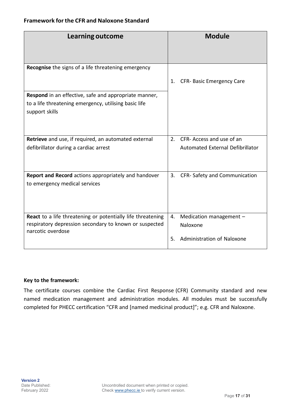| Learning outcome                                                                                                                                  | <b>Module</b>                             |
|---------------------------------------------------------------------------------------------------------------------------------------------------|-------------------------------------------|
| Recognise the signs of a life threatening emergency                                                                                               |                                           |
|                                                                                                                                                   | CFR- Basic Emergency Care<br>1.           |
| <b>Respond</b> in an effective, safe and appropriate manner,<br>to a life threatening emergency, utilising basic life<br>support skills           |                                           |
| <b>Retrieve</b> and use, if required, an automated external                                                                                       | CFR- Access and use of an<br>2.           |
| defibrillator during a cardiac arrest                                                                                                             | Automated External Defibrillator          |
| Report and Record actions appropriately and handover                                                                                              | CFR-Safety and Communication<br>3.        |
| to emergency medical services                                                                                                                     |                                           |
| <b>React</b> to a life threatening or potentially life threatening<br>respiratory depression secondary to known or suspected<br>narcotic overdose | Medication management -<br>4.<br>Naloxone |
|                                                                                                                                                   | Administration of Naloxone<br>5.          |

#### **Key to the framework:**

The certificate courses combine the Cardiac First Response (CFR) Community standard and new named medication management and administration modules. All modules must be successfully completed for PHECC certification "CFR and [named medicinal product]"; e.g. CFR and Naloxone.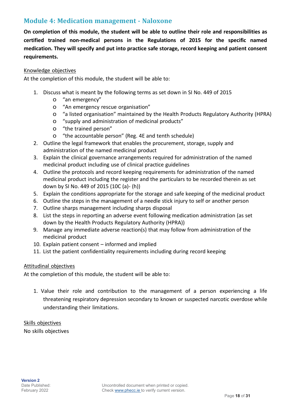### **Module 4: Medication management - Naloxone**

**On completion of this module, the student will be able to outline their role and responsibilities as certified trained non-medical persons in the Regulations of 2015 for the specific named medication. They will specify and put into practice safe storage, record keeping and patient consent requirements.**

#### Knowledge objectives

At the completion of this module, the student will be able to:

- 1. Discuss what is meant by the following terms as set down in SI No. 449 of 2015
	- o "an emergency"
	- o "An emergency rescue organisation"
	- o "a listed organisation" maintained by the Health Products Regulatory Authority (HPRA)
	- o "supply and administration of medicinal products"
	- o "the trained person"
	- o "the accountable person" (Reg. 4E and tenth schedule)
- 2. Outline the legal framework that enables the procurement, storage, supply and administration of the named medicinal product
- 3. Explain the clinical governance arrangements required for administration of the named medicinal product including use of clinical practice guidelines
- 4. Outline the protocols and record keeping requirements for administration of the named medicinal product including the register and the particulars to be recorded therein as set down by SI No. 449 of 2015 (10C (a)- (h))
- 5. Explain the conditions appropriate for the storage and safe keeping of the medicinal product
- 6. Outline the steps in the management of a needle stick injury to self or another person
- 7. Outline sharps management including sharps disposal
- 8. List the steps in reporting an adverse event following medication administration (as set down by the Health Products Regulatory Authority (HPRA))
- 9. Manage any immediate adverse reaction(s) that may follow from administration of the medicinal product
- 10. Explain patient consent informed and implied
- 11. List the patient confidentiality requirements including during record keeping

#### Attitudinal objectives

At the completion of this module, the student will be able to:

1. Value their role and contribution to the management of a person experiencing a life threatening respiratory depression secondary to known or suspected narcotic overdose while understanding their limitations.

Skills objectives No skills objectives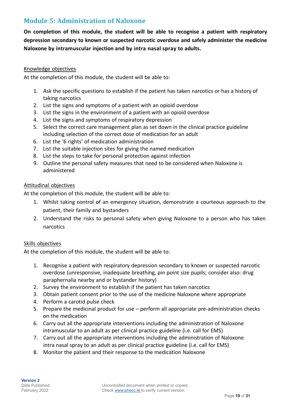### **Module 5: Administration of Naloxone**

**On completion of this module, the student will be able to recognise a patient with respiratory depression secondary to known or suspected narcotic overdose and safely administer the medicine Naloxone by intramuscular injection and by intra nasal spray to adults.**

#### Knowledge objectives

At the completion of this module, the student will be able to:

- 1. Ask the specific questions to establish if the patient has taken narcotics or has a history of taking narcotics
- 2. List the signs and symptoms of a patient with an opioid overdose
- 3. List the signs in the environment of a patient with an opioid overdose
- 4. List the signs and symptoms of respiratory depression
- 5. Select the correct care management plan as set down in the clinical practice guideline including selection of the correct dose of medication for an adult
- 6. List the '6 rights' of medication administration
- 7. List the suitable injection sites for giving the named medication
- 8. List the steps to take for personal protection against infection
- 9. Outline the personal safety measures that need to be considered when Naloxone is administered

#### Attitudinal objectives

At the completion of this module, the student will be able to:

- 1. Whilst taking control of an emergency situation, demonstrate a courteous approach to the patient, their family and bystanders
- 2. Understand the risks to personal safety when giving Naloxone to a person who has taken narcotics

#### Skills objectives

- 1. Recognise a patient with respiratory depression secondary to known or suspected narcotic overdose (unresponsive, inadequate breathing, pin point size pupils; consider also: drug paraphernalia nearby and or bystander history)
- 2. Survey the environment to establish if the patient has taken narcotics
- 3. Obtain patient consent prior to the use of the medicine Naloxone where appropriate
- 4. Perform a carotid pulse check
- 5. Prepare the medicinal product for use perform all appropriate pre-administration checks on the medication
- 6. Carry out all the appropriate interventions including the administration of Naloxone intramuscular to an adult as per clinical practice guideline (i.e. call for EMS)
- 7. Carry out all the appropriate interventions including the administration of Naloxone intra nasal spray to an adult as per clinical practice guideline (i.e. call for EMS)
- 8. Monitor the patient and their response to the medication Naloxone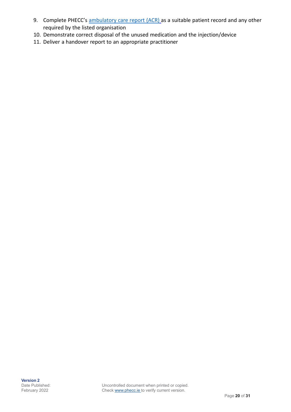- 9. Complete PHECC's [ambulatory](http://www.phecit.ie/Images/PHECC/Information%20Management/10-10-2013%20AMBULATORY%20CARE%20REPORT%20FINAL.pdf) care report (ACR) as a suitable patient record and any other required by the listed organisation
- 10. Demonstrate correct disposal of the unused medication and the injection/device
- 11. Deliver a handover report to an appropriate practitioner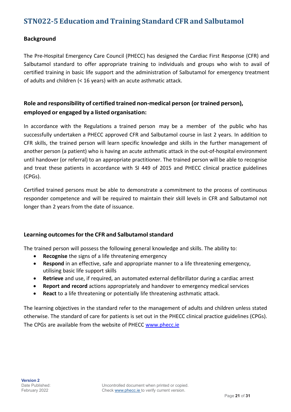# **STN022-5 Education and Training Standard CFR and Salbutamol**

#### **Background**

The Pre-Hospital Emergency Care Council (PHECC) has designed the Cardiac First Response (CFR) and Salbutamol standard to offer appropriate training to individuals and groups who wish to avail of certified training in basic life support and the administration of Salbutamol for emergency treatment of adults and children (< 16 years) with an acute asthmatic attack.

### **Role and responsibility of certified trained non-medical person (or trained person), employed or engaged by a listed organisation:**

In accordance with the Regulations a trained person may be a member of the public who has successfully undertaken a PHECC approved CFR and Salbutamol course in last 2 years. In addition to CFR skills, the trained person will learn specific knowledge and skills in the further management of another person (a patient) who is having an acute asthmatic attack in the out-of-hospital environment until handover (or referral) to an appropriate practitioner. The trained person will be able to recognise and treat these patients in accordance with SI 449 of 2015 and PHECC clinical practice guidelines (CPGs).

Certified trained persons must be able to demonstrate a commitment to the process of continuous responder competence and will be required to maintain their skill levels in CFR and Salbutamol not longer than 2 years from the date of issuance.

#### **Learning outcomesfor the CFR and Salbutamolstandard**

The trained person will possess the following general knowledge and skills. The ability to:

- **Recognise** the signs of a life threatening emergency
- **Respond** in an effective, safe and appropriate manner to a life threatening emergency, utilising basic life support skills
- **Retrieve** and use, if required, an automated external defibrillator during a cardiac arrest
- **Report and record** actions appropriately and handover to emergency medical services
- **React** to a life threatening or potentially life threatening asthmatic attack.

The learning objectives in the standard refer to the management of adults and children unless stated otherwise. The standard of care for patients is set out in the PHECC clinical practice guidelines (CPGs). The CPGs are available from the website of PHECC [www.phecc.ie](http://www.phecc.ie/)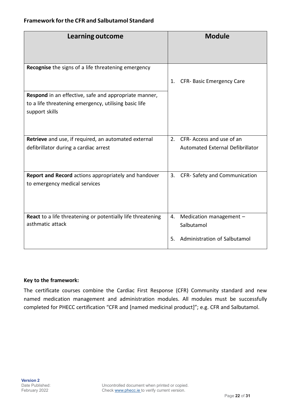#### **Framework forthe CFR and Salbutamol Standard**

| Learning outcome                                                                                                                 | <b>Module</b>                               |
|----------------------------------------------------------------------------------------------------------------------------------|---------------------------------------------|
| Recognise the signs of a life threatening emergency                                                                              |                                             |
|                                                                                                                                  | CFR- Basic Emergency Care<br>1.             |
| Respond in an effective, safe and appropriate manner,<br>to a life threatening emergency, utilising basic life<br>support skills |                                             |
| Retrieve and use, if required, an automated external                                                                             | CFR- Access and use of an<br>2.             |
| defibrillator during a cardiac arrest                                                                                            | Automated External Defibrillator            |
| Report and Record actions appropriately and handover<br>to emergency medical services                                            | 3.<br>CFR-Safety and Communication          |
| <b>React</b> to a life threatening or potentially life threatening<br>asthmatic attack                                           | Medication management -<br>4.<br>Salbutamol |
|                                                                                                                                  | Administration of Salbutamol<br>5.          |

#### **Key to the framework:**

The certificate courses combine the Cardiac First Response (CFR) Community standard and new named medication management and administration modules. All modules must be successfully completed for PHECC certification "CFR and [named medicinal product]"; e.g. CFR and Salbutamol.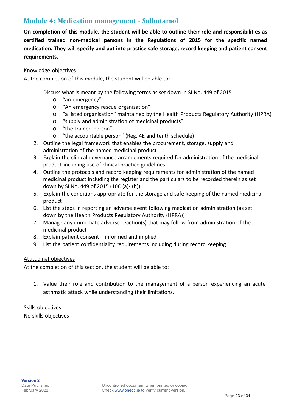### **Module 4: Medication management - Salbutamol**

**On completion of this module, the student will be able to outline their role and responsibilities as certified trained non-medical persons in the Regulations of 2015 for the specific named medication. They will specify and put into practice safe storage, record keeping and patient consent requirements.**

#### Knowledge objectives

At the completion of this module, the student will be able to:

- 1. Discuss what is meant by the following terms as set down in SI No. 449 of 2015
	- o "an emergency"
	- o "An emergency rescue organisation"
	- o "a listed organisation" maintained by the Health Products Regulatory Authority (HPRA)
	- o "supply and administration of medicinal products"
	- o "the trained person"
	- o "the accountable person" (Reg. 4E and tenth schedule)
- 2. Outline the legal framework that enables the procurement, storage, supply and administration of the named medicinal product
- 3. Explain the clinical governance arrangements required for administration of the medicinal product including use of clinical practice guidelines
- 4. Outline the protocols and record keeping requirements for administration of the named medicinal product including the register and the particulars to be recorded therein as set down by SI No. 449 of 2015 (10C (a)- (h))
- 5. Explain the conditions appropriate for the storage and safe keeping of the named medicinal product
- 6. List the steps in reporting an adverse event following medication administration (as set down by the Health Products Regulatory Authority (HPRA))
- 7. Manage any immediate adverse reaction(s) that may follow from administration of the medicinal product
- 8. Explain patient consent informed and implied
- 9. List the patient confidentiality requirements including during record keeping

#### Attitudinal objectives

At the completion of this section, the student will be able to:

1. Value their role and contribution to the management of a person experiencing an acute asthmatic attack while understanding their limitations.

Skills objectives No skills objectives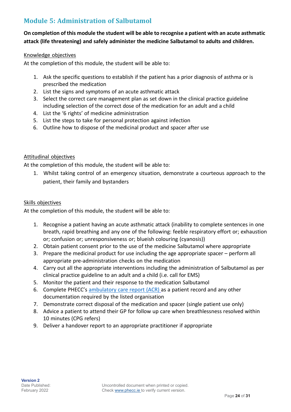# **Module 5: Administration of Salbutamol**

### On completion of this module the student will be able to recognise a patient with an acute asthmatic **attack (life threatening) and safely administer the medicine Salbutamol to adults and children.**

#### Knowledge objectives

At the completion of this module, the student will be able to:

- 1. Ask the specific questions to establish if the patient has a prior diagnosis of asthma or is prescribed the medication
- 2. List the signs and symptoms of an acute asthmatic attack
- 3. Select the correct care management plan as set down in the clinical practice guideline including selection of the correct dose of the medication for an adult and a child
- 4. List the '6 rights' of medicine administration
- 5. List the steps to take for personal protection against infection
- 6. Outline how to dispose of the medicinal product and spacer after use

#### Attitudinal objectives

At the completion of this module, the student will be able to:

1. Whilst taking control of an emergency situation, demonstrate a courteous approach to the patient, their family and bystanders

#### Skills objectives

- 1. Recognise a patient having an acute asthmatic attack (inability to complete sentences in one breath, rapid breathing and any one of the following: feeble respiratory effort or; exhaustion or; confusion or; unresponsiveness or; blueish colouring (cyanosis))
- 2. Obtain patient consent prior to the use of the medicine Salbutamol where appropriate
- 3. Prepare the medicinal product for use including the age appropriate spacer perform all appropriate pre-administration checks on the medication
- 4. Carry out all the appropriate interventions including the administration of Salbutamol as per clinical practice guideline to an adult and a child (i.e. call for EMS)
- 5. Monitor the patient and their response to the medication Salbutamol
- 6. Complete PHECC's [ambulatory](http://www.phecit.ie/Images/PHECC/Information%20Management/10-10-2013%20AMBULATORY%20CARE%20REPORT%20FINAL.pdf) care report (ACR) as a patient record and any other documentation required by the listed organisation
- 7. Demonstrate correct disposal of the medication and spacer (single patient use only)
- 8. Advice a patient to attend their GP for follow up care when breathlessness resolved within 10 minutes (CPG refers)
- 9. Deliver a handover report to an appropriate practitioner if appropriate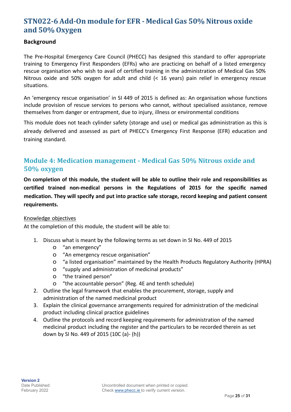# **STN022-6 Add-On module for EFR - Medical Gas 50% Nitrous oxide and 50% Oxygen**

#### **Background**

The Pre-Hospital Emergency Care Council (PHECC) has designed this standard to offer appropriate training to Emergency First Responders (EFRs) who are practicing on behalf of a listed emergency rescue organisation who wish to avail of certified training in the administration of Medical Gas 50% Nitrous oxide and 50% oxygen for adult and child (< 16 years) pain relief in emergency rescue situations.

An 'emergency rescue organisation' in SI 449 of 2015 is defined as: An organisation whose functions include provision of rescue services to persons who cannot, without specialised assistance, remove themselves from danger or entrapment, due to injury, illness or environmental conditions

This module does not teach cylinder safety (storage and use) or medical gas administration as this is already delivered and assessed as part of PHECC's Emergency First Response (EFR) education and training standard.

# **Module 4: Medication management - Medical Gas 50% Nitrous oxide and 50% oxygen**

**On completion of this module, the student will be able to outline their role and responsibilities as certified trained non-medical persons in the Regulations of 2015 for the specific named medication. They will specify and put into practice safe storage, record keeping and patient consent requirements.**

#### Knowledge objectives

- 1. Discuss what is meant by the following terms as set down in SI No. 449 of 2015
	- o "an emergency"
	- o "An emergency rescue organisation"
	- o "a listed organisation" maintained by the Health Products Regulatory Authority (HPRA)
	- o "supply and administration of medicinal products"
	- o "the trained person"
	- o "the accountable person" (Reg. 4E and tenth schedule)
- 2. Outline the legal framework that enables the procurement, storage, supply and administration of the named medicinal product
- 3. Explain the clinical governance arrangements required for administration of the medicinal product including clinical practice guidelines
- 4. Outline the protocols and record keeping requirements for administration of the named medicinal product including the register and the particulars to be recorded therein as set down by SI No. 449 of 2015 (10C (a)- (h))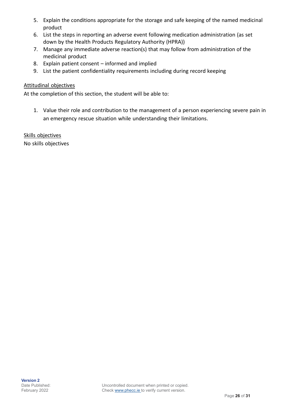- 5. Explain the conditions appropriate for the storage and safe keeping of the named medicinal product
- 6. List the steps in reporting an adverse event following medication administration (as set down by the Health Products Regulatory Authority (HPRA))
- 7. Manage any immediate adverse reaction(s) that may follow from administration of the medicinal product
- 8. Explain patient consent informed and implied
- 9. List the patient confidentiality requirements including during record keeping

#### Attitudinal objectives

At the completion of this section, the student will be able to:

1. Value their role and contribution to the management of a person experiencing severe pain in an emergency rescue situation while understanding their limitations.

Skills objectives No skills objectives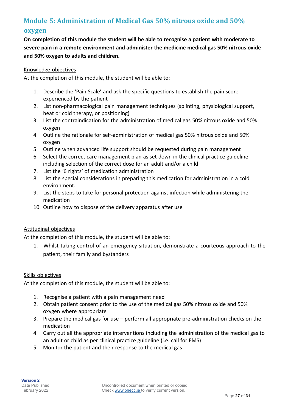# **Module 5: Administration of Medical Gas 50% nitrous oxide and 50% oxygen**

**On completion of this module the student will be able to recognise a patient with moderate to severe pain in a remote environment and administer the medicine medical gas 50% nitrous oxide and 50% oxygen to adults and children.**

#### Knowledge objectives

At the completion of this module, the student will be able to:

- 1. Describe the 'Pain Scale' and ask the specific questions to establish the pain score experienced by the patient
- 2. List non-pharmacological pain management techniques (splinting, physiological support, heat or cold therapy, or positioning)
- 3. List the contraindication for the administration of medical gas 50% nitrous oxide and 50% oxygen
- 4. Outline the rationale for self-administration of medical gas 50% nitrous oxide and 50% oxygen
- 5. Outline when advanced life support should be requested during pain management
- 6. Select the correct care management plan as set down in the clinical practice guideline including selection of the correct dose for an adult and/or a child
- 7. List the '6 rights' of medication administration
- 8. List the special considerations in preparing this medication for administration in a cold environment.
- 9. List the steps to take for personal protection against infection while administering the medication
- 10. Outline how to dispose of the delivery apparatus after use

#### Attitudinal objectives

At the completion of this module, the student will be able to:

1. Whilst taking control of an emergency situation, demonstrate a courteous approach to the patient, their family and bystanders

#### Skills objectives

- 1. Recognise a patient with a pain management need
- 2. Obtain patient consent prior to the use of the medical gas 50% nitrous oxide and 50% oxygen where appropriate
- 3. Prepare the medical gas for use perform all appropriate pre-administration checks on the medication
- 4. Carry out all the appropriate interventions including the administration of the medical gas to an adult or child as per clinical practice guideline (i.e. call for EMS)
- 5. Monitor the patient and their response to the medical gas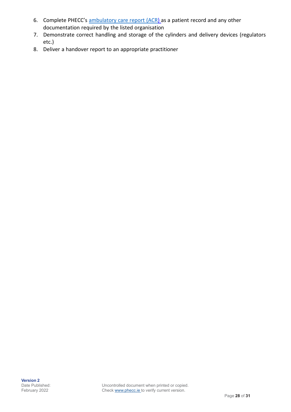- 6. Complete PHECC's [ambulatory](http://www.phecit.ie/Images/PHECC/Information%20Management/10-10-2013%20AMBULATORY%20CARE%20REPORT%20FINAL.pdf) care report (ACR) as a patient record and any other documentation required by the listed organisation
- 7. Demonstrate correct handling and storage of the cylinders and delivery devices (regulators etc.)
- 8. Deliver a handover report to an appropriate practitioner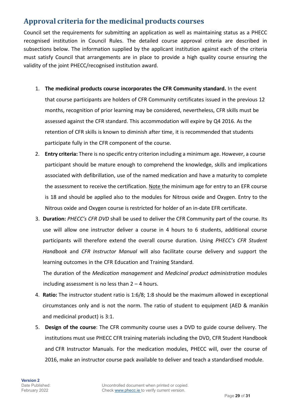# **Approval criteria for the medicinal products courses**

Council set the requirements for submitting an application as well as maintaining status as a PHECC recognised institution in Council Rules. The detailed course approval criteria are described in subsections below. The information supplied by the applicant institution against each of the criteria must satisfy Council that arrangements are in place to provide a high quality course ensuring the validity of the joint PHECC/recognised institution award.

1. **The medicinal products course incorporates the CFR Community standard.** In the event

that course participants are holders of CFR Community certificates issued in the previous 12 months, recognition of prior learning may be considered, nevertheless, CFR skills must be assessed against the CFR standard. This accommodation will expire by Q4 2016. As the retention of CFR skills is known to diminish after time, it is recommended that students participate fully in the CFR component of the course.

- 2. **Entry criteria:** There is no specific entry criterion including a minimum age. However, a course participant should be mature enough to comprehend the knowledge, skills and implications associated with defibrillation, use of the named medication and have a maturity to complete the assessment to receive the certification. Note the minimum age for entry to an EFR course is 18 and should be applied also to the modules for Nitrous oxide and Oxygen. Entry to the Nitrous oxide and Oxygen course is restricted for holder of an in-date EFR certificate.
- 3. **Duration:** *PHECC's CFR DVD* shall be used to deliver the CFR Community part of the course. Its use will allow one instructor deliver a course in 4 hours to 6 students, additional course participants will therefore extend the overall course duration. Using *PHECC's CFR Student Handbook* and *CFR Instructor Manual* will also facilitate course delivery and support the learning outcomes in the CFR Education and Training Standard.

The duration of the *Medication management* and *Medicinal product administration* modules including assessment is no less than  $2 - 4$  hours.

- 4. **Ratio:** The instructor student ratio is 1:6/8; 1:8 should be the maximum allowed in exceptional circumstances only and is not the norm. The ratio of student to equipment (AED & manikin and medicinal product) is 3:1.
- 5. **Design of the course**: The CFR community course uses a DVD to guide course delivery. The institutions must use PHECC CFR training materials including the DVD, CFR Student Handbook and CFR Instructor Manuals. For the medication modules, PHECC will, over the course of 2016, make an instructor course pack available to deliver and teach a standardised module.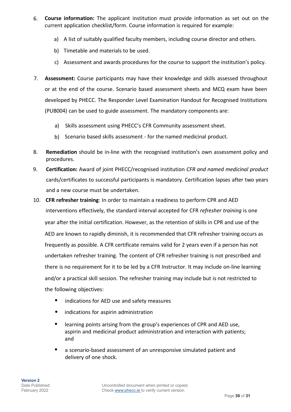- 6. **Course information:** The applicant institution must provide information as set out on the current application checklist/form. Course information is required for example:
	- a) A list of suitably qualified faculty members, including course director and others.
	- b) Timetable and materials to be used.
	- c) Assessment and awards procedures for the course to support the institution's policy.
- 7. **Assessment:** Course participants may have their knowledge and skills assessed throughout or at the end of the course. Scenario based assessment sheets and MCQ exam have been developed by PHECC. The Responder Level Examination Handout for Recognised Institutions (PUB004) can be used to guide assessment. The mandatory components are:
	- a) Skills assessment using PHECC's CFR Community assessment sheet.
	- b) Scenario based skills assessment for the named medicinal product.
- 8. **Remediation** should be in-line with the recognised institution's own assessment policy and procedures.
- 9. **Certification:** Award of joint PHECC/recognised institution *CFR and named medicinal product* cards/certificates to successful participants is mandatory. Certification lapses after two years and a new course must be undertaken.
- 10. **CFR refresher training**: In order to maintain a readiness to perform CPR and AED interventions effectively, the standard interval accepted for CFR *refresher training* is one year after the initial certification. However, as the retention of skills in CPR and use of the AED are known to rapidly diminish, it is recommended that CFR refresher training occurs as frequently as possible. A CFR certificate remains valid for 2 years even if a person has not undertaken refresher training. The content of CFR refresher training is not prescribed and there is no requirement for it to be led by a CFR Instructor. It may include on-line learning and/or a practical skill session. The refresher training may include but is not restricted to the following objectives:
	- indications for AED use and safety measures
	- indications for aspirin administration
	- learning points arising from the group's experiences of CPR and AED use, aspirin and medicinal product administration and interaction with patients; and
	- a scenario-based assessment of an unresponsive simulated patient and delivery of one shock.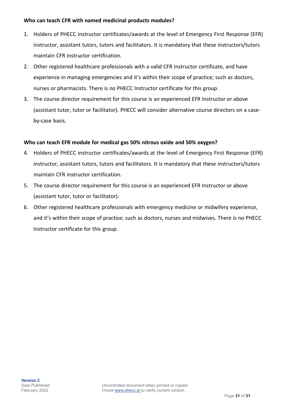#### **Who can teach CFR with named medicinal products modules?**

- 1. Holders of PHECC instructor certificates/awards at the level of Emergency First Response (EFR) instructor, assistant tutors, tutors and facilitators. It is mandatory that these instructors/tutors maintain CFR instructor certification.
- 2. Other registered healthcare professionals with a valid CFR Instructor certificate, and have experience in managing emergencies and it's within their scope of practice; such as doctors, nurses or pharmacists. There is no PHECC Instructor certificate for this group.
- 3. The course director requirement for this course is an experienced EFR Instructor or above (assistant tutor, tutor or facilitator). PHECC will consider alternative course directors on a caseby-case basis.

#### **Who can teach EFR module for medical gas 50% nitrous oxide and 50% oxygen?**

- 4. Holders of PHECC instructor certificates/awards at the level of Emergency First Response (EFR) instructor, assistant tutors, tutors and facilitators. It is mandatory that these instructors/tutors maintain CFR instructor certification.
- 5. The course director requirement for this course is an experienced EFR Instructor or above (assistant tutor, tutor or facilitator).
- 6. Other registered healthcare professionals with emergency medicine or midwifery experience, and it's within their scope of practice; such as doctors, nurses and midwives. There is no PHECC Instructor certificate for this group.